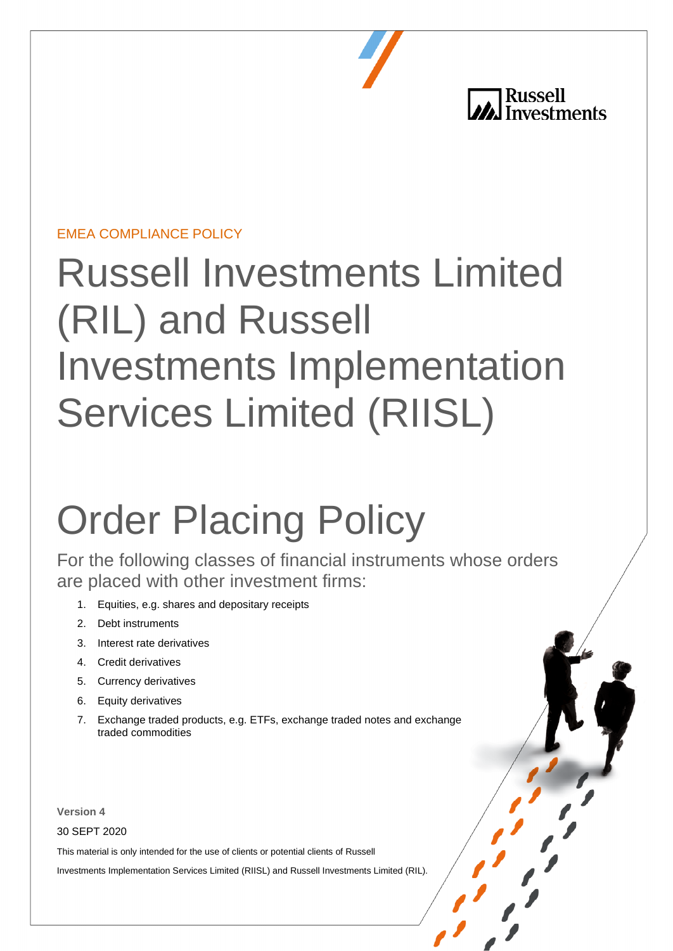**All Russell**<br> **All Investments** 

## EMEA COMPLIANCE POLICY

## Russell Investments Limited (RIL) and Russell Investments Implementation Services Limited (RIISL)

# Order Placing Policy

For the following classes of financial instruments whose orders are placed with other investment firms:

- 1. Equities, e.g. shares and depositary receipts
- 2. Debt instruments
- 3. Interest rate derivatives
- 4. Credit derivatives
- 5. Currency derivatives
- 6. Equity derivatives
- 7. Exchange traded products, e.g. ETFs, exchange traded notes and exchange traded commodities

**Version 4** 

30 SEPT 2020

This material is only intended for the use of clients or potential clients of Russell

Investments Implementation Services Limited (RIISL) and Russell Investments Limited (RIL).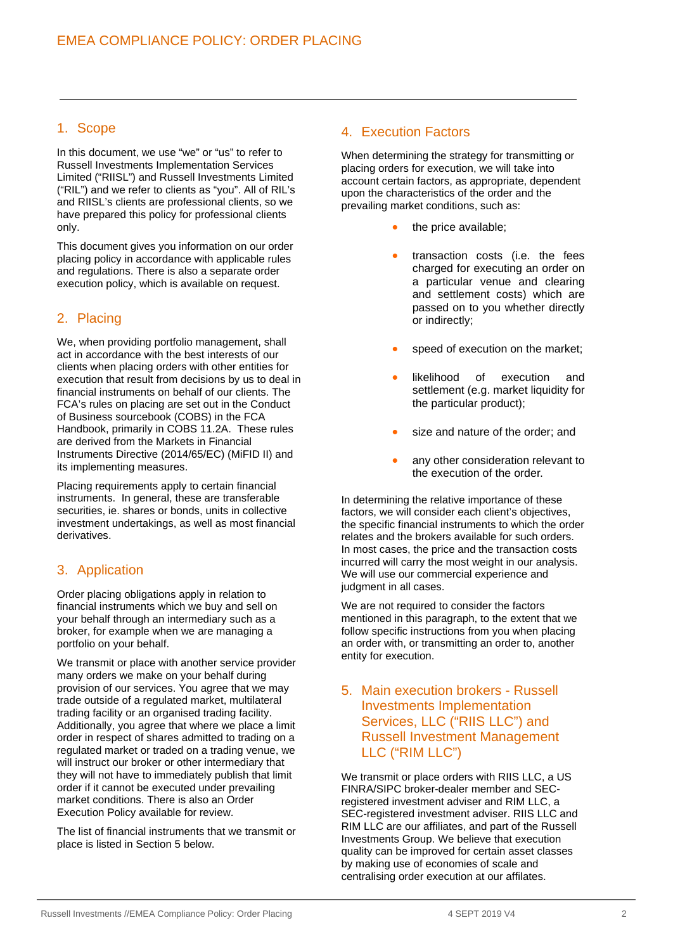#### 1. Scope

In this document, we use "we" or "us" to refer to Russell Investments Implementation Services Limited ("RIISL") and Russell Investments Limited ("RIL") and we refer to clients as "you". All of RIL's and RIISL's clients are professional clients, so we have prepared this policy for professional clients only.

This document gives you information on our order placing policy in accordance with applicable rules and regulations. There is also a separate order execution policy, which is available on request.

#### 2. Placing

We, when providing portfolio management, shall act in accordance with the best interests of our clients when placing orders with other entities for execution that result from decisions by us to deal in financial instruments on behalf of our clients. The FCA's rules on placing are set out in the Conduct of Business sourcebook (COBS) in the FCA Handbook, primarily in COBS 11.2A. These rules are derived from the Markets in Financial Instruments Directive (2014/65/EC) (MiFID II) and its implementing measures.

Placing requirements apply to certain financial instruments. In general, these are transferable securities, ie. shares or bonds, units in collective investment undertakings, as well as most financial derivatives.

#### 3. Application

Order placing obligations apply in relation to financial instruments which we buy and sell on your behalf through an intermediary such as a broker, for example when we are managing a portfolio on your behalf.

We transmit or place with another service provider many orders we make on your behalf during provision of our services. You agree that we may trade outside of a regulated market, multilateral trading facility or an organised trading facility. Additionally, you agree that where we place a limit order in respect of shares admitted to trading on a regulated market or traded on a trading venue, we will instruct our broker or other intermediary that they will not have to immediately publish that limit order if it cannot be executed under prevailing market conditions. There is also an Order Execution Policy available for review.

The list of financial instruments that we transmit or place is listed in Section 5 below.

#### 4. Execution Factors

When determining the strategy for transmitting or placing orders for execution, we will take into account certain factors, as appropriate, dependent upon the characteristics of the order and the prevailing market conditions, such as:

- the price available;
- transaction costs (i.e. the fees charged for executing an order on a particular venue and clearing and settlement costs) which are passed on to you whether directly or indirectly;
- speed of execution on the market;
- likelihood of execution and settlement (e.g. market liquidity for the particular product);
- size and nature of the order; and
- any other consideration relevant to the execution of the order.

In determining the relative importance of these factors, we will consider each client's objectives, the specific financial instruments to which the order relates and the brokers available for such orders. In most cases, the price and the transaction costs incurred will carry the most weight in our analysis. We will use our commercial experience and judgment in all cases.

We are not required to consider the factors mentioned in this paragraph, to the extent that we follow specific instructions from you when placing an order with, or transmitting an order to, another entity for execution.

#### 5. Main execution brokers - Russell Investments Implementation Services, LLC ("RIIS LLC") and Russell Investment Management LLC ("RIM LLC")

We transmit or place orders with RIIS LLC, a US FINRA/SIPC broker-dealer member and SECregistered investment adviser and RIM LLC, a SEC-registered investment adviser. RIIS LLC and RIM LLC are our affiliates, and part of the Russell Investments Group. We believe that execution quality can be improved for certain asset classes by making use of economies of scale and centralising order execution at our affilates.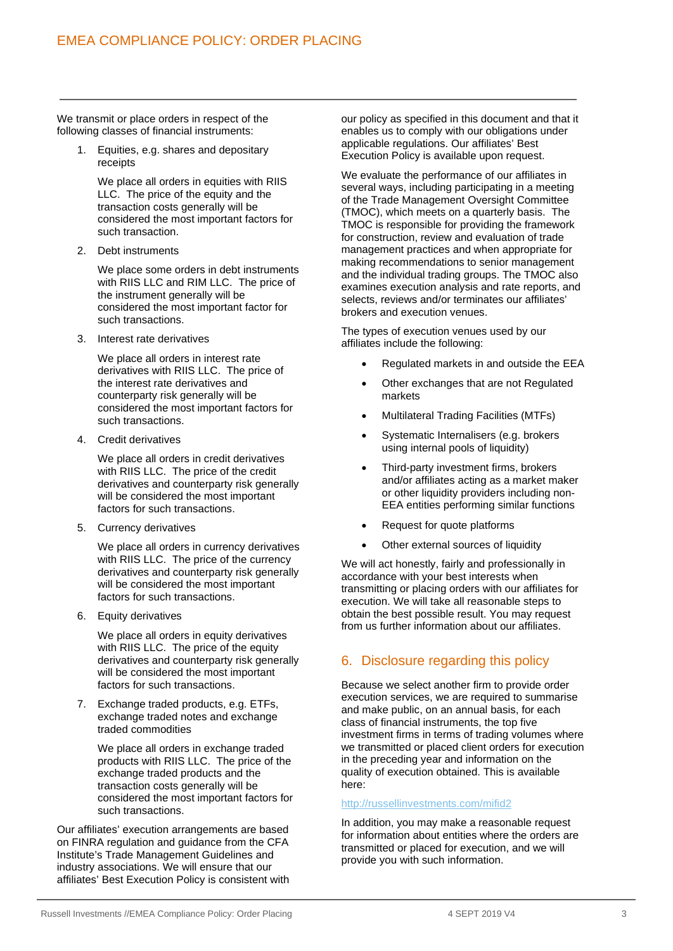We transmit or place orders in respect of the following classes of financial instruments:

> 1. Equities, e.g. shares and depositary receipts

We place all orders in equities with RIIS LLC. The price of the equity and the transaction costs generally will be considered the most important factors for such transaction.

2. Debt instruments

We place some orders in debt instruments with RIIS LLC and RIM LLC. The price of the instrument generally will be considered the most important factor for such transactions.

3. Interest rate derivatives

We place all orders in interest rate derivatives with RIIS LLC. The price of the interest rate derivatives and counterparty risk generally will be considered the most important factors for such transactions.

4. Credit derivatives

We place all orders in credit derivatives with RIIS LLC. The price of the credit derivatives and counterparty risk generally will be considered the most important factors for such transactions.

5. Currency derivatives

We place all orders in currency derivatives with RIIS LLC. The price of the currency derivatives and counterparty risk generally will be considered the most important factors for such transactions.

6. Equity derivatives

We place all orders in equity derivatives with RIIS LLC. The price of the equity derivatives and counterparty risk generally will be considered the most important factors for such transactions.

7. Exchange traded products, e.g. ETFs, exchange traded notes and exchange traded commodities

We place all orders in exchange traded products with RIIS LLC. The price of the exchange traded products and the transaction costs generally will be considered the most important factors for such transactions.

Our affiliates' execution arrangements are based on FINRA regulation and guidance from the CFA Institute's Trade Management Guidelines and industry associations. We will ensure that our affiliates' Best Execution Policy is consistent with our policy as specified in this document and that it enables us to comply with our obligations under applicable regulations. Our affiliates' Best Execution Policy is available upon request.

We evaluate the performance of our affiliates in several ways, including participating in a meeting of the Trade Management Oversight Committee (TMOC), which meets on a quarterly basis. The TMOC is responsible for providing the framework for construction, review and evaluation of trade management practices and when appropriate for making recommendations to senior management and the individual trading groups. The TMOC also examines execution analysis and rate reports, and selects, reviews and/or terminates our affiliates' brokers and execution venues.

The types of execution venues used by our affiliates include the following:

- Regulated markets in and outside the EEA
- Other exchanges that are not Regulated markets
- Multilateral Trading Facilities (MTFs)
- Systematic Internalisers (e.g. brokers using internal pools of liquidity)
- Third-party investment firms, brokers and/or affiliates acting as a market maker or other liquidity providers including non-EEA entities performing similar functions
- Request for quote platforms
- Other external sources of liquidity

We will act honestly, fairly and professionally in accordance with your best interests when transmitting or placing orders with our affiliates for execution. We will take all reasonable steps to obtain the best possible result. You may request from us further information about our affiliates.

### 6. Disclosure regarding this policy

Because we select another firm to provide order execution services, we are required to summarise and make public, on an annual basis, for each class of financial instruments, the top five investment firms in terms of trading volumes where we transmitted or placed client orders for execution in the preceding year and information on the quality of execution obtained. This is available here:

#### <http://russellinvestments.com/mifid2>

In addition, you may make a reasonable request for information about entities where the orders are transmitted or placed for execution, and we will provide you with such information.